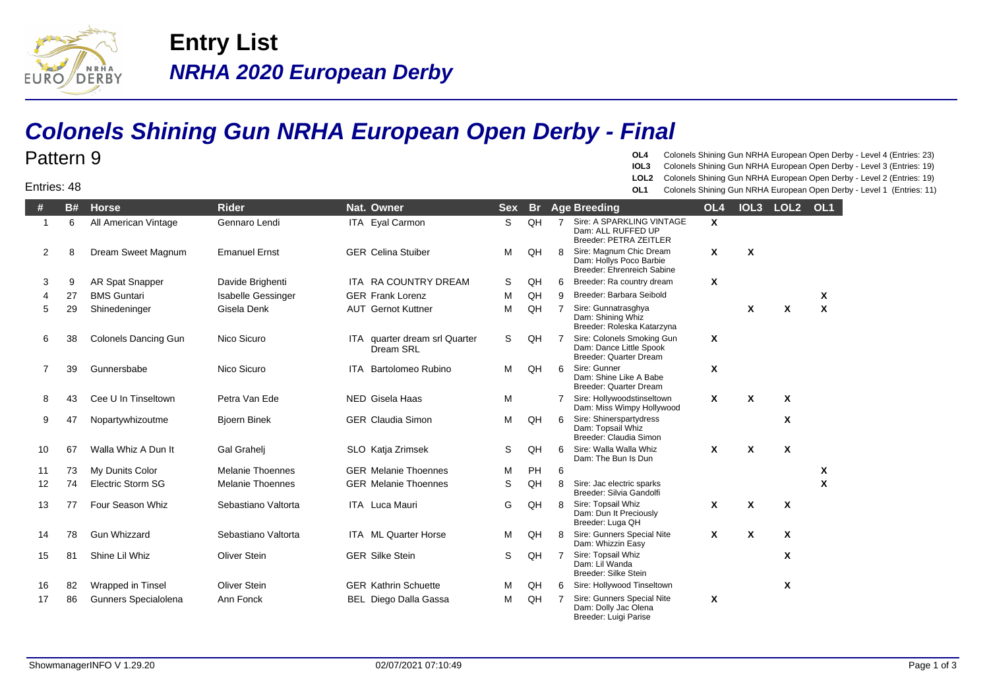

Pattern 9

Entries: 48

**NRHA 2020 European Derby Entry List**

## **Colonels Shining Gun NRHA European Open Derby - Final**

## **OL4** Colonels Shining Gun NRHA European Open Derby - Level 4 (Entries: 23)

- **IOL3** Colonels Shining Gun NRHA European Open Derby Level 3 (Entries: 19)
- **LOL2** Colonels Shining Gun NRHA European Open Derby Level 2 (Entries: 19)
- **OL1** Colonels Shining Gun NRHA European Open Derby Level 1 (Entries: 11)

| #            | <b>B#</b> | <b>Horse</b>                | <b>Rider</b>              | Nat. Owner                                 | <b>Sex</b> | <b>Br</b> |                | Age Breeding                                                                     | OL <sub>4</sub> | IOL <sub>3</sub> | LOL <sub>2</sub>          | OL <sub>1</sub> |
|--------------|-----------|-----------------------------|---------------------------|--------------------------------------------|------------|-----------|----------------|----------------------------------------------------------------------------------|-----------------|------------------|---------------------------|-----------------|
| $\mathbf{1}$ | 6         | All American Vintage        | Gennaro Lendi             | ITA Eyal Carmon                            | S          | QH        | $\overline{7}$ | Sire: A SPARKLING VINTAGE<br>Dam: ALL RUFFED UP<br><b>Breeder: PETRA ZEITLER</b> | $\mathsf{x}$    |                  |                           |                 |
| 2            | 8         | Dream Sweet Magnum          | <b>Emanuel Ernst</b>      | <b>GER Celina Stuiber</b>                  | м          | QH        | 8              | Sire: Magnum Chic Dream<br>Dam: Hollys Poco Barbie<br>Breeder: Ehrenreich Sabine | $\mathsf{x}$    | X                |                           |                 |
| 3            | 9         | AR Spat Snapper             | Davide Brighenti          | ITA RA COUNTRY DREAM                       | S          | QH        | 6              | Breeder: Ra country dream                                                        | X               |                  |                           |                 |
| 4            | 27        | <b>BMS Guntari</b>          | <b>Isabelle Gessinger</b> | <b>GER Frank Lorenz</b>                    | M          | QH        | 9              | Breeder: Barbara Seibold                                                         |                 |                  |                           | X               |
| 5            | 29        | Shinedeninger               | Gisela Denk               | <b>AUT</b> Gernot Kuttner                  | M          | QH        | $\overline{7}$ | Sire: Gunnatrasghya<br>Dam: Shining Whiz<br>Breeder: Roleska Katarzyna           |                 | X                | X                         | $\mathbf{x}$    |
| 6            | 38        | <b>Colonels Dancing Gun</b> | Nico Sicuro               | ITA quarter dream srl Quarter<br>Dream SRL | S          | QH        | $\overline{7}$ | Sire: Colonels Smoking Gun<br>Dam: Dance Little Spook<br>Breeder: Quarter Dream  | X               |                  |                           |                 |
| 7            | 39        | Gunnersbabe                 | Nico Sicuro               | <b>ITA</b> Bartolomeo Rubino               | м          | QH        | 6              | Sire: Gunner<br>Dam: Shine Like A Babe<br>Breeder: Quarter Dream                 | X               |                  |                           |                 |
| 8            | 43        | Cee U In Tinseltown         | Petra Van Ede             | NED Gisela Haas                            | M          |           | $\overline{7}$ | Sire: Hollywoodstinseltown<br>Dam: Miss Wimpy Hollywood                          | $\mathbf{x}$    | X                | $\mathbf{x}$              |                 |
| 9            | 47        | Nopartywhizoutme            | <b>Bjoern Binek</b>       | <b>GER Claudia Simon</b>                   | м          | QH        | 6              | Sire: Shinerspartydress<br>Dam: Topsail Whiz<br>Breeder: Claudia Simon           |                 |                  | X                         |                 |
| 10           | 67        | Walla Whiz A Dun It         | Gal Graheli               | SLO Katja Zrimsek                          | S          | QH        | 6              | Sire: Walla Walla Whiz<br>Dam: The Bun Is Dun                                    | X               | X                | X                         |                 |
| 11           | 73        | My Dunits Color             | <b>Melanie Thoennes</b>   | <b>GER Melanie Thoennes</b>                | М          | PH        | 6              |                                                                                  |                 |                  |                           | X               |
| 12           | 74        | <b>Electric Storm SG</b>    | <b>Melanie Thoennes</b>   | <b>GER Melanie Thoennes</b>                | S          | QH        | 8              | Sire: Jac electric sparks<br>Breeder: Silvia Gandolfi                            |                 |                  |                           | X               |
| 13           | 77        | Four Season Whiz            | Sebastiano Valtorta       | ITA Luca Mauri                             | G          | QH        | 8              | Sire: Topsail Whiz<br>Dam: Dun It Preciously<br>Breeder: Luga QH                 | X               | X                | $\boldsymbol{\mathsf{x}}$ |                 |
| 14           | 78        | <b>Gun Whizzard</b>         | Sebastiano Valtorta       | <b>ITA ML Quarter Horse</b>                | м          | QH        | 8              | Sire: Gunners Special Nite<br>Dam: Whizzin Easy                                  | $\mathbf{x}$    | X                | X                         |                 |
| 15           | 81        | Shine Lil Whiz              | <b>Oliver Stein</b>       | <b>GER Silke Stein</b>                     | S          | QH        | $\overline{7}$ | Sire: Topsail Whiz<br>Dam: Lil Wanda<br>Breeder: Silke Stein                     |                 |                  | X                         |                 |
| 16           | 82        | Wrapped in Tinsel           | <b>Oliver Stein</b>       | <b>GER Kathrin Schuette</b>                | М          | QH        | 6              | Sire: Hollywood Tinseltown                                                       |                 |                  | X                         |                 |
| 17           | 86        | Gunners Specialolena        | Ann Fonck                 | <b>BEL Diego Dalla Gassa</b>               | м          | QH        | 7              | Sire: Gunners Special Nite<br>Dam: Dolly Jac Olena<br>Breeder: Luigi Parise      | $\mathbf{x}$    |                  |                           |                 |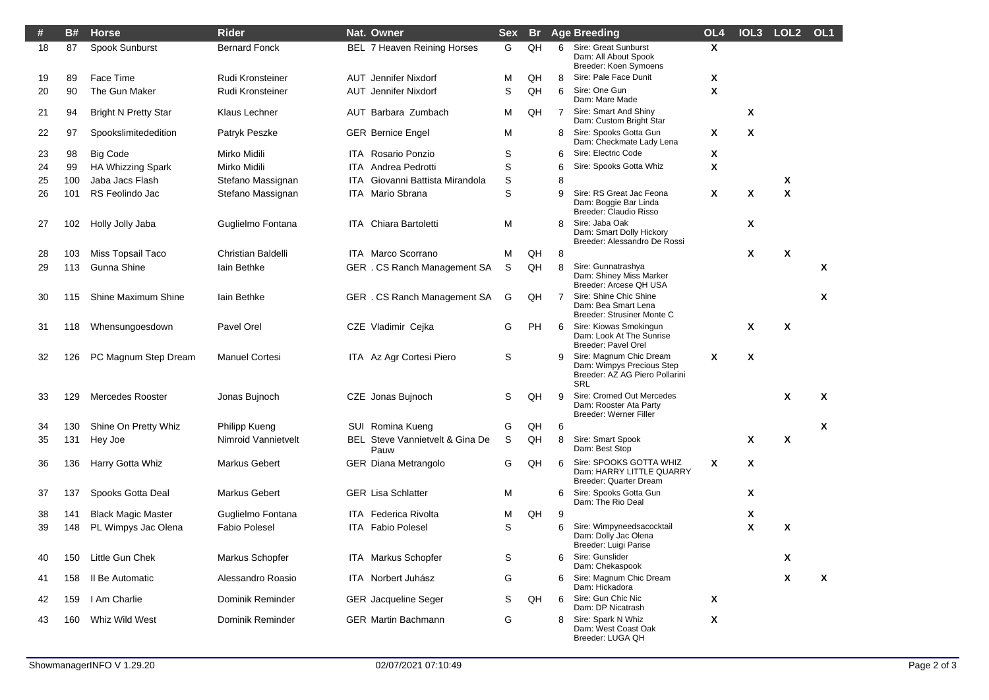| #  | <b>B#</b> | <b>Horse</b>                | <b>Rider</b>          |            | Nat. Owner                              | <b>Sex</b> | <b>Br</b> |                | <b>Age Breeding</b>                                                                                  | OL <sub>4</sub> |   | IOL3 LOL2 | OL <sub>1</sub> |
|----|-----------|-----------------------------|-----------------------|------------|-----------------------------------------|------------|-----------|----------------|------------------------------------------------------------------------------------------------------|-----------------|---|-----------|-----------------|
| 18 | 87        | Spook Sunburst              | <b>Bernard Fonck</b>  |            | BEL 7 Heaven Reining Horses             | G          | QH        | 6              | <b>Sire: Great Sunburst</b><br>Dam: All About Spook<br>Breeder: Koen Symoens                         | Χ               |   |           |                 |
| 19 | 89        | Face Time                   | Rudi Kronsteiner      |            | <b>AUT</b> Jennifer Nixdorf             | М          | QH        | 8              | Sire: Pale Face Dunit                                                                                | X               |   |           |                 |
| 20 | 90        | The Gun Maker               | Rudi Kronsteiner      |            | <b>AUT</b> Jennifer Nixdorf             | S          | QH        | 6              | Sire: One Gun<br>Dam: Mare Made                                                                      | X               |   |           |                 |
| 21 | 94        | <b>Bright N Pretty Star</b> | Klaus Lechner         |            | AUT Barbara Zumbach                     | М          | QH        | 7              | Sire: Smart And Shiny<br>Dam: Custom Bright Star                                                     |                 | X |           |                 |
| 22 | 97        | Spookslimitededition        | Patryk Peszke         |            | <b>GER Bernice Engel</b>                | М          |           | 8              | Sire: Spooks Gotta Gun<br>Dam: Checkmate Lady Lena                                                   | X               | X |           |                 |
| 23 | 98        | <b>Big Code</b>             | Mirko Midili          |            | <b>ITA</b> Rosario Ponzio               | S          |           | 6              | Sire: Electric Code                                                                                  | x               |   |           |                 |
| 24 | 99        | <b>HA Whizzing Spark</b>    | Mirko Midili          | <b>ITA</b> | Andrea Pedrotti                         | S          |           | 6              | Sire: Spooks Gotta Whiz                                                                              | X               |   |           |                 |
| 25 | 100       | Jaba Jacs Flash             | Stefano Massignan     | <b>ITA</b> | Giovanni Battista Mirandola             | S          |           | 8              |                                                                                                      |                 |   | X         |                 |
| 26 | 101       | RS Feolindo Jac             | Stefano Massignan     | ITA.       | Mario Sbrana                            | S          |           | 9              | Sire: RS Great Jac Feona<br>Dam: Boggie Bar Linda<br>Breeder: Claudio Risso                          | X               | X | X         |                 |
| 27 | 102       | Holly Jolly Jaba            | Guglielmo Fontana     |            | ITA Chiara Bartoletti                   | М          |           | 8              | Sire: Jaba Oak<br>Dam: Smart Dolly Hickory<br>Breeder: Alessandro De Rossi                           |                 | X |           |                 |
| 28 | 103       | Miss Topsail Taco           | Christian Baldelli    |            | <b>ITA</b> Marco Scorrano               | М          | QH        | 8              |                                                                                                      |                 | X | X         |                 |
| 29 | 113       | Gunna Shine                 | lain Bethke           |            | GER. CS Ranch Management SA             | S          | QH        | 8              | Sire: Gunnatrashya<br>Dam: Shiney Miss Marker<br>Breeder: Arcese QH USA                              |                 |   |           | Χ               |
| 30 | 115       | Shine Maximum Shine         | lain Bethke           |            | GER . CS Ranch Management SA            | G          | QH        | $\overline{7}$ | Sire: Shine Chic Shine<br>Dam: Bea Smart Lena<br>Breeder: Strusiner Monte C                          |                 |   |           | x               |
| 31 | 118       | Whensungoesdown             | Pavel Orel            |            | CZE Vladimir Cejka                      | G          | PH        | 6              | Sire: Kiowas Smokingun<br>Dam: Look At The Sunrise<br>Breeder: Pavel Orel                            |                 | X | X         |                 |
| 32 | 126       | PC Magnum Step Dream        | <b>Manuel Cortesi</b> |            | ITA Az Agr Cortesi Piero                | S          |           | 9              | Sire: Magnum Chic Dream<br>Dam: Wimpys Precious Step<br>Breeder: AZ AG Piero Pollarini<br><b>SRL</b> | X               | X |           |                 |
| 33 | 129       | <b>Mercedes Rooster</b>     | Jonas Bujnoch         |            | CZE Jonas Bujnoch                       | S          | QH        | 9              | Sire: Cromed Out Mercedes<br>Dam: Rooster Ata Party<br><b>Breeder: Werner Filler</b>                 |                 |   | X         | X               |
| 34 | 130       | Shine On Pretty Whiz        | Philipp Kueng         |            | SUI Romina Kueng                        | G          | QH        | 6              |                                                                                                      |                 |   |           | X               |
| 35 | 131       | Hey Joe                     | Nimroid Vannietvelt   |            | BEL Steve Vannietvelt & Gina De<br>Pauw | S          | QH        | 8              | Sire: Smart Spook<br>Dam: Best Stop                                                                  |                 | X | X         |                 |
| 36 | 136       | Harry Gotta Whiz            | <b>Markus Gebert</b>  |            | <b>GER Diana Metrangolo</b>             | G          | QH        | 6              | Sire: SPOOKS GOTTA WHIZ<br>Dam: HARRY LITTLE QUARRY<br>Breeder: Quarter Dream                        | X               | X |           |                 |
| 37 | 137       | Spooks Gotta Deal           | <b>Markus Gebert</b>  |            | <b>GER Lisa Schlatter</b>               | М          |           | 6              | Sire: Spooks Gotta Gun<br>Dam: The Rio Deal                                                          |                 | X |           |                 |
| 38 | 141       | <b>Black Magic Master</b>   | Guglielmo Fontana     |            | <b>ITA</b> Federica Rivolta             | м          | QH        | 9              |                                                                                                      |                 | X |           |                 |
| 39 | 148       | PL Wimpys Jac Olena         | <b>Fabio Polesel</b>  |            | <b>ITA</b> Fabio Polesel                | S          |           | 6              | Sire: Wimpyneedsacocktail<br>Dam: Dolly Jac Olena<br>Breeder: Luigi Parise                           |                 | X | X         |                 |
| 40 | 150       | Little Gun Chek             | Markus Schopfer       |            | ITA Markus Schopfer                     | S          |           | 6              | Sire: Gunslider<br>Dam: Chekaspook                                                                   |                 |   | X         |                 |
| 41 | 158       | Il Be Automatic             | Alessandro Roasio     |            | ITA Norbert Juhász                      | G          |           | 6              | Sire: Magnum Chic Dream<br>Dam: Hickadora                                                            |                 |   | X         | Χ               |
| 42 | 159       | I Am Charlie                | Dominik Reminder      |            | <b>GER</b> Jacqueline Seger             | S          | QH        | 6              | Sire: Gun Chic Nic<br>Dam: DP Nicatrash                                                              | X               |   |           |                 |
| 43 | 160       | Whiz Wild West              | Dominik Reminder      |            | <b>GER Martin Bachmann</b>              | G          |           | 8              | Sire: Spark N Whiz<br>Dam: West Coast Oak<br>Breeder: LUGA QH                                        | X               |   |           |                 |

 $\overline{\phantom{a}}$